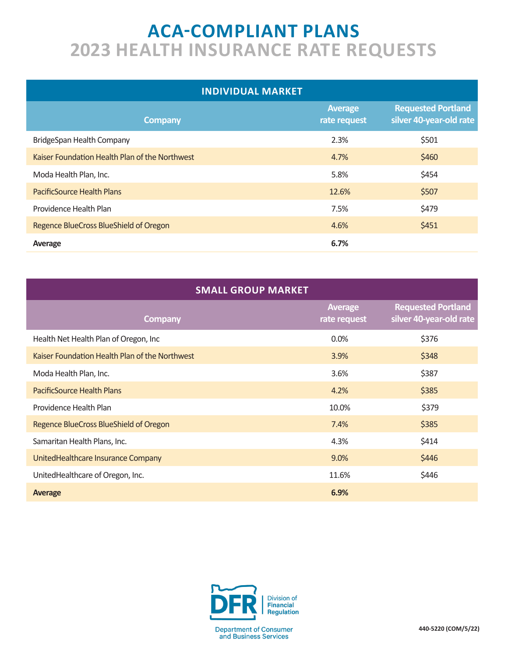## **ACA-COMPLIANT PLANS 2023 HEALTH INSURANCE RATE REQUESTS**

| <b>INDIVIDUAL MARKET</b>                       |                                |                                                      |  |  |  |  |  |
|------------------------------------------------|--------------------------------|------------------------------------------------------|--|--|--|--|--|
| <b>Company</b>                                 | <b>Average</b><br>rate request | <b>Requested Portland</b><br>silver 40-year-old rate |  |  |  |  |  |
| BridgeSpan Health Company                      | 2.3%                           | \$501                                                |  |  |  |  |  |
| Kaiser Foundation Health Plan of the Northwest | 4.7%                           | \$460                                                |  |  |  |  |  |
| Moda Health Plan, Inc.                         | 5.8%                           | \$454                                                |  |  |  |  |  |
| <b>PacificSource Health Plans</b>              | 12.6%                          | \$507                                                |  |  |  |  |  |
| Providence Health Plan                         | 7.5%                           | \$479                                                |  |  |  |  |  |
| Regence BlueCross BlueShield of Oregon         | 4.6%                           | \$451                                                |  |  |  |  |  |
| Average                                        | 6.7%                           |                                                      |  |  |  |  |  |

| <b>SMALL GROUP MARKET</b>                      |                                |                                                      |  |  |  |  |  |
|------------------------------------------------|--------------------------------|------------------------------------------------------|--|--|--|--|--|
| <b>Company</b>                                 | <b>Average</b><br>rate request | <b>Requested Portland</b><br>silver 40-year-old rate |  |  |  |  |  |
| Health Net Health Plan of Oregon, Inc          | 0.0%                           | \$376                                                |  |  |  |  |  |
| Kaiser Foundation Health Plan of the Northwest | 3.9%                           | \$348                                                |  |  |  |  |  |
| Moda Health Plan, Inc.                         | 3.6%                           | \$387                                                |  |  |  |  |  |
| PacificSource Health Plans                     | 4.2%                           | \$385                                                |  |  |  |  |  |
| Providence Health Plan                         | 10.0%                          | \$379                                                |  |  |  |  |  |
| Regence BlueCross BlueShield of Oregon         | 7.4%                           | \$385                                                |  |  |  |  |  |
| Samaritan Health Plans, Inc.                   | 4.3%                           | \$414                                                |  |  |  |  |  |
| UnitedHealthcare Insurance Company             | 9.0%                           | \$446                                                |  |  |  |  |  |
| UnitedHealthcare of Oregon, Inc.               | 11.6%                          | \$446                                                |  |  |  |  |  |
| <b>Average</b>                                 | 6.9%                           |                                                      |  |  |  |  |  |

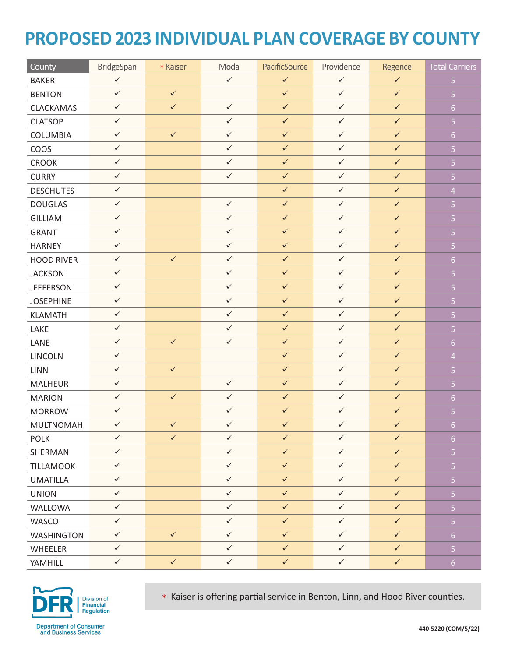## **PROPOSED 2023 INDIVIDUAL PLAN COVERAGE BY COUNTY**

| County            | BridgeSpan   | * Kaiser     | Moda         | PacificSource | Providence   | Regence      | <b>Total Carriers</b>   |
|-------------------|--------------|--------------|--------------|---------------|--------------|--------------|-------------------------|
| <b>BAKER</b>      | $\checkmark$ |              | $\checkmark$ | $\checkmark$  | $\checkmark$ | $\checkmark$ | $\overline{5}$          |
| <b>BENTON</b>     | $\checkmark$ | $\checkmark$ |              | $\checkmark$  | $\checkmark$ | $\checkmark$ | $\overline{5}$          |
| CLACKAMAS         | $\checkmark$ | $\checkmark$ | $\checkmark$ | $\checkmark$  | $\checkmark$ | $\checkmark$ | $\overline{6}$          |
| <b>CLATSOP</b>    | $\checkmark$ |              | $\checkmark$ | $\checkmark$  | $\checkmark$ | $\checkmark$ | $\overline{5}$          |
| COLUMBIA          | $\checkmark$ | $\checkmark$ | $\checkmark$ | $\checkmark$  | $\checkmark$ | $\checkmark$ | $6 \overline{6}$        |
| COOS              | $\checkmark$ |              | $\checkmark$ | $\checkmark$  | $\checkmark$ | $\checkmark$ | $\overline{5}$          |
| <b>CROOK</b>      | $\checkmark$ |              | $\checkmark$ | $\checkmark$  | $\checkmark$ | $\checkmark$ | $\overline{5}$          |
| <b>CURRY</b>      | $\checkmark$ |              | $\checkmark$ | $\checkmark$  | $\checkmark$ | $\checkmark$ | $\overline{5}$          |
| <b>DESCHUTES</b>  | $\checkmark$ |              |              | $\checkmark$  | $\checkmark$ | $\checkmark$ | $\overline{4}$          |
| <b>DOUGLAS</b>    | $\checkmark$ |              | $\checkmark$ | $\checkmark$  | $\checkmark$ | $\checkmark$ | $\overline{5}$          |
| <b>GILLIAM</b>    | $\checkmark$ |              | $\checkmark$ | $\checkmark$  | $\checkmark$ | $\checkmark$ | $\overline{\mathbf{5}}$ |
| <b>GRANT</b>      | $\checkmark$ |              | $\checkmark$ | $\checkmark$  | $\checkmark$ | $\checkmark$ | $\overline{5}$          |
| HARNEY            | $\checkmark$ |              | $\checkmark$ | $\checkmark$  | $\checkmark$ | $\checkmark$ | $\overline{5}$          |
| <b>HOOD RIVER</b> | $\checkmark$ | $\checkmark$ | $\checkmark$ | $\checkmark$  | $\checkmark$ | $\checkmark$ | $6 \overline{6}$        |
| <b>JACKSON</b>    | $\checkmark$ |              | $\checkmark$ | $\checkmark$  | $\checkmark$ | $\checkmark$ | $\overline{5}$          |
| <b>JEFFERSON</b>  | $\checkmark$ |              | $\checkmark$ | $\checkmark$  | $\checkmark$ | $\checkmark$ | $\overline{5}$          |
| <b>JOSEPHINE</b>  | $\checkmark$ |              | $\checkmark$ | $\checkmark$  | $\checkmark$ | $\checkmark$ | $\overline{\mathbf{5}}$ |
| <b>KLAMATH</b>    | $\checkmark$ |              | $\checkmark$ | $\checkmark$  | $\checkmark$ | $\checkmark$ | $\overline{5}$          |
| LAKE              | $\checkmark$ |              | $\checkmark$ | $\checkmark$  | $\checkmark$ | $\checkmark$ | $\overline{5}$          |
| LANE              | $\checkmark$ | $\checkmark$ | $\checkmark$ | $\checkmark$  | $\checkmark$ | $\checkmark$ | $6 \overline{6}$        |
| LINCOLN           | $\checkmark$ |              |              | $\checkmark$  | $\checkmark$ | $\checkmark$ | $\overline{4}$          |
| <b>LINN</b>       | $\checkmark$ | $\checkmark$ |              | $\checkmark$  | $\checkmark$ | $\checkmark$ | $\overline{5}$          |
| <b>MALHEUR</b>    | $\checkmark$ |              | $\checkmark$ | $\checkmark$  | $\checkmark$ | $\checkmark$ | $\overline{5}$          |
| <b>MARION</b>     | $\checkmark$ | $\checkmark$ | $\checkmark$ | $\checkmark$  | $\checkmark$ | $\checkmark$ | $6 \overline{6}$        |
| <b>MORROW</b>     | $\checkmark$ |              | $\checkmark$ | $\checkmark$  | $\checkmark$ | $\checkmark$ | $\overline{5}$          |
| <b>MULTNOMAH</b>  | $\checkmark$ | $\checkmark$ | $\checkmark$ | $\checkmark$  | $\checkmark$ | $\checkmark$ | $\overline{6}$          |
| <b>POLK</b>       | $\checkmark$ | $\checkmark$ | $\checkmark$ | $\checkmark$  | $\checkmark$ | $\checkmark$ | 6 <sup>1</sup>          |
| SHERMAN           | $\checkmark$ |              | $\checkmark$ | $\checkmark$  | $\checkmark$ | $\checkmark$ | $\overline{5}$          |
| TILLAMOOK         | $\checkmark$ |              | $\checkmark$ | $\checkmark$  | $\checkmark$ | $\checkmark$ | $\overline{5}$          |
| <b>UMATILLA</b>   | $\checkmark$ |              | $\checkmark$ | $\checkmark$  | $\checkmark$ | $\checkmark$ | $\overline{5}$          |
| <b>UNION</b>      | $\checkmark$ |              | $\checkmark$ | $\checkmark$  | $\checkmark$ | $\checkmark$ | $\overline{5}$          |
| WALLOWA           | $\checkmark$ |              | $\checkmark$ | $\checkmark$  | $\checkmark$ | $\checkmark$ | $\overline{5}$          |
| <b>WASCO</b>      | $\checkmark$ |              | $\checkmark$ | $\checkmark$  | $\checkmark$ | $\checkmark$ | $\overline{5}$          |
| <b>WASHINGTON</b> | $\checkmark$ | $\checkmark$ | $\checkmark$ | $\checkmark$  | $\checkmark$ | $\checkmark$ | 6 <sup>1</sup>          |
| WHEELER           | $\checkmark$ |              | $\checkmark$ | $\checkmark$  | $\checkmark$ | $\checkmark$ | 5 <sub>1</sub>          |
| YAMHILL           | $\checkmark$ | $\checkmark$ | $\checkmark$ | $\checkmark$  | $\checkmark$ | $\checkmark$ | 6                       |



\* Kaiser is offering partial service in Benton, Linn, and Hood River counties.